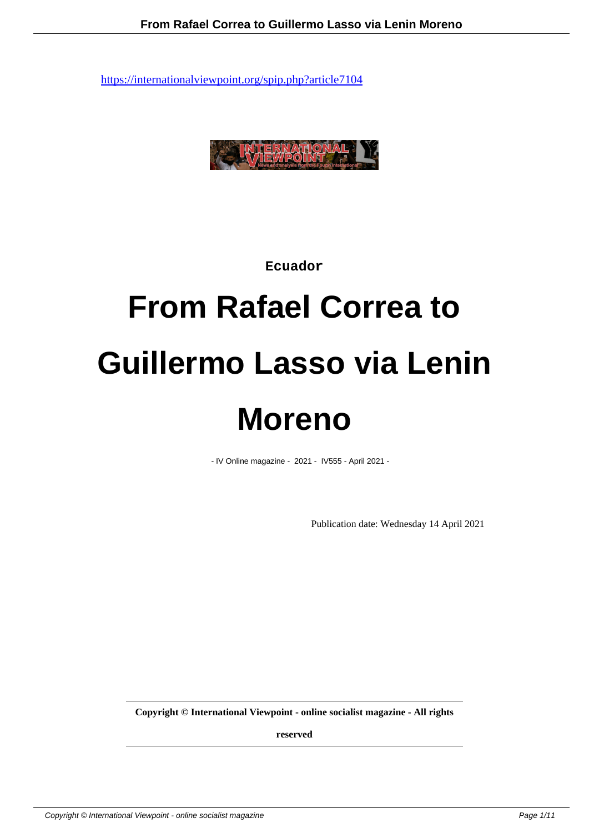

**Ecuador**

# **From Rafael Correa to Guillermo Lasso via Lenin Moreno**

- IV Online magazine - 2021 - IV555 - April 2021 -

Publication date: Wednesday 14 April 2021

**Copyright © International Viewpoint - online socialist magazine - All rights**

**reserved**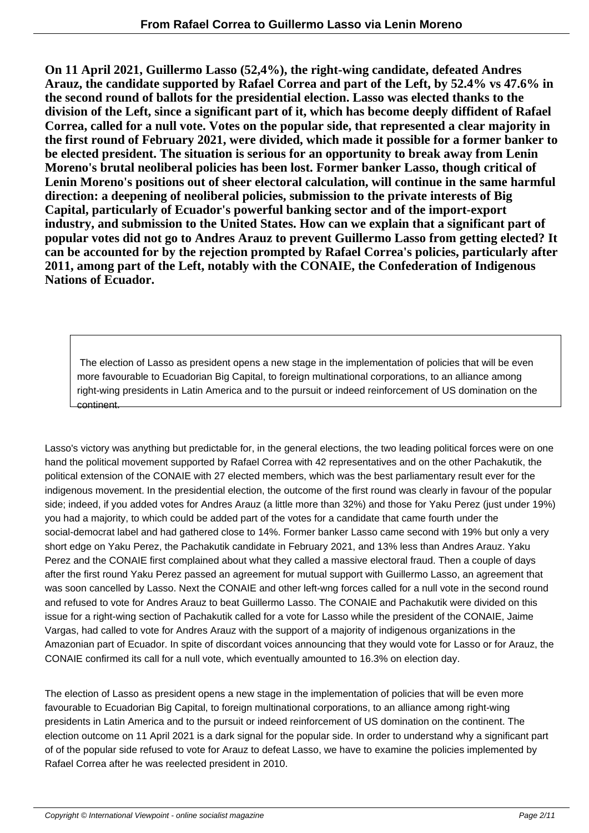**On 11 April 2021, Guillermo Lasso (52,4%), the right-wing candidate, defeated Andres Arauz, the candidate supported by Rafael Correa and part of the Left, by 52.4% vs 47.6% in the second round of ballots for the presidential election. Lasso was elected thanks to the division of the Left, since a significant part of it, which has become deeply diffident of Rafael Correa, called for a null vote. Votes on the popular side, that represented a clear majority in the first round of February 2021, were divided, which made it possible for a former banker to be elected president. The situation is serious for an opportunity to break away from Lenin Moreno's brutal neoliberal policies has been lost. Former banker Lasso, though critical of Lenin Moreno's positions out of sheer electoral calculation, will continue in the same harmful direction: a deepening of neoliberal policies, submission to the private interests of Big Capital, particularly of Ecuador's powerful banking sector and of the import-export industry, and submission to the United States. How can we explain that a significant part of popular votes did not go to Andres Arauz to prevent Guillermo Lasso from getting elected? It can be accounted for by the rejection prompted by Rafael Correa's policies, particularly after 2011, among part of the Left, notably with the CONAIE, the Confederation of Indigenous Nations of Ecuador.**

 The election of Lasso as president opens a new stage in the implementation of policies that will be even more favourable to Ecuadorian Big Capital, to foreign multinational corporations, to an alliance among right-wing presidents in Latin America and to the pursuit or indeed reinforcement of US domination on the continent.

Lasso's victory was anything but predictable for, in the general elections, the two leading political forces were on one hand the political movement supported by Rafael Correa with 42 representatives and on the other Pachakutik, the political extension of the CONAIE with 27 elected members, which was the best parliamentary result ever for the indigenous movement. In the presidential election, the outcome of the first round was clearly in favour of the popular side; indeed, if you added votes for Andres Arauz (a little more than 32%) and those for Yaku Perez (just under 19%) you had a majority, to which could be added part of the votes for a candidate that came fourth under the social-democrat label and had gathered close to 14%. Former banker Lasso came second with 19% but only a very short edge on Yaku Perez, the Pachakutik candidate in February 2021, and 13% less than Andres Arauz. Yaku Perez and the CONAIE first complained about what they called a massive electoral fraud. Then a couple of days after the first round Yaku Perez passed an agreement for mutual support with Guillermo Lasso, an agreement that was soon cancelled by Lasso. Next the CONAIE and other left-wng forces called for a null vote in the second round and refused to vote for Andres Arauz to beat Guillermo Lasso. The CONAIE and Pachakutik were divided on this issue for a right-wing section of Pachakutik called for a vote for Lasso while the president of the CONAIE, Jaime Vargas, had called to vote for Andres Arauz with the support of a majority of indigenous organizations in the Amazonian part of Ecuador. In spite of discordant voices announcing that they would vote for Lasso or for Arauz, the CONAIE confirmed its call for a null vote, which eventually amounted to 16.3% on election day.

The election of Lasso as president opens a new stage in the implementation of policies that will be even more favourable to Ecuadorian Big Capital, to foreign multinational corporations, to an alliance among right-wing presidents in Latin America and to the pursuit or indeed reinforcement of US domination on the continent. The election outcome on 11 April 2021 is a dark signal for the popular side. In order to understand why a significant part of of the popular side refused to vote for Arauz to defeat Lasso, we have to examine the policies implemented by Rafael Correa after he was reelected president in 2010.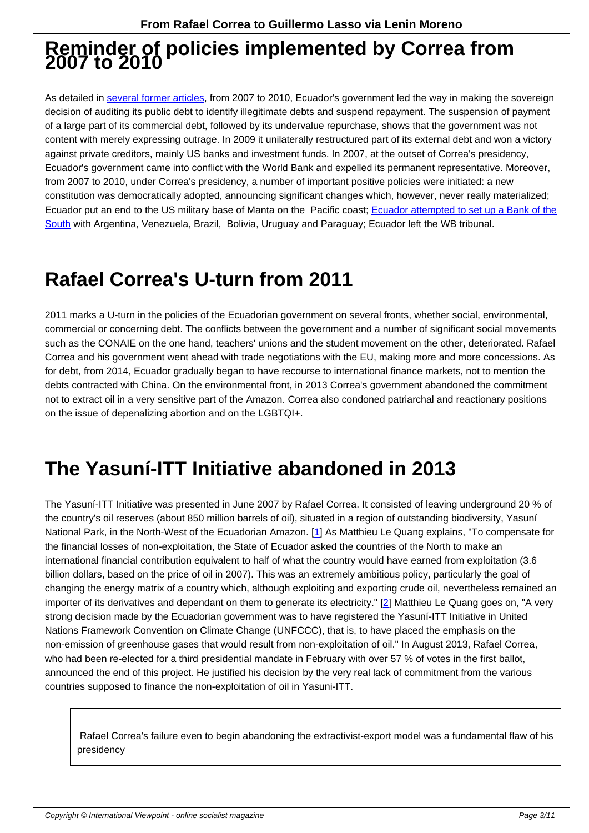## **Reminder of policies implemented by Correa from 2007 to 2010**

As detailed in several former articles, from 2007 to 2010, Ecuador's government led the way in making the sovereign decision of auditing its public debt to identify illegitimate debts and suspend repayment. The suspension of payment of a large part of its commercial debt, followed by its undervalue repurchase, shows that the government was not content with merely expressing outrage. In 2009 it unilaterally restructured part of its external debt and won a victory against privat[e creditors, mainly US b](https://www.cadtm.org/Ecuador-s-poisoned-loans-from-the-World-Bank-and-the-IMF)anks and investment funds. In 2007, at the outset of Correa's presidency, Ecuador's government came into conflict with the World Bank and expelled its permanent representative. Moreover, from 2007 to 2010, under Correa's presidency, a number of important positive policies were initiated: a new constitution was democratically adopted, announcing significant changes which, however, never really materialized; Ecuador put an end to the US military base of Manta on the Pacific coast; Ecuador attempted to set up a Bank of the South with Argentina, Venezuela, Brazil, Bolivia, Uruguay and Paraguay; Ecuador left the WB tribunal.

## **[Raf](https://www.cadtm.org/The-alternative-would-be-a-Bank-of)ael Correa's U-turn from 2011**

2011 marks a U-turn in the policies of the Ecuadorian government on several fronts, whether social, environmental, commercial or concerning debt. The conflicts between the government and a number of significant social movements such as the CONAIE on the one hand, teachers' unions and the student movement on the other, deteriorated. Rafael Correa and his government went ahead with trade negotiations with the EU, making more and more concessions. As for debt, from 2014, Ecuador gradually began to have recourse to international finance markets, not to mention the debts contracted with China. On the environmental front, in 2013 Correa's government abandoned the commitment not to extract oil in a very sensitive part of the Amazon. Correa also condoned patriarchal and reactionary positions on the issue of depenalizing abortion and on the LGBTQI+.

## **The Yasuní-ITT Initiative abandoned in 2013**

The Yasuní-ITT Initiative was presented in June 2007 by Rafael Correa. It consisted of leaving underground 20 % of the country's oil reserves (about 850 million barrels of oil), situated in a region of outstanding biodiversity, Yasuní National Park, in the North-West of the Ecuadorian Amazon. [1] As Matthieu Le Quang explains, "To compensate for the financial losses of non-exploitation, the State of Ecuador asked the countries of the North to make an international financial contribution equivalent to half of what the country would have earned from exploitation (3.6 billion dollars, based on the price of oil in 2007). This was an extremely ambitious policy, particularly the goal of changing the energy matrix of a country which, although expl[oit](#nb1)ing and exporting crude oil, nevertheless remained an importer of its derivatives and dependant on them to generate its electricity." [2] Matthieu Le Quang goes on, "A very strong decision made by the Ecuadorian government was to have registered the Yasuní-ITT Initiative in United Nations Framework Convention on Climate Change (UNFCCC), that is, to have placed the emphasis on the non-emission of greenhouse gases that would result from non-exploitation of oil." In August 2013, Rafael Correa, who had been re-elected for a third presidential mandate in February with ov[er](#nb2) 57 % of votes in the first ballot, announced the end of this project. He justified his decision by the very real lack of commitment from the various countries supposed to finance the non-exploitation of oil in Yasuni-ITT.

 Rafael Correa's failure even to begin abandoning the extractivist-export model was a fundamental flaw of his presidency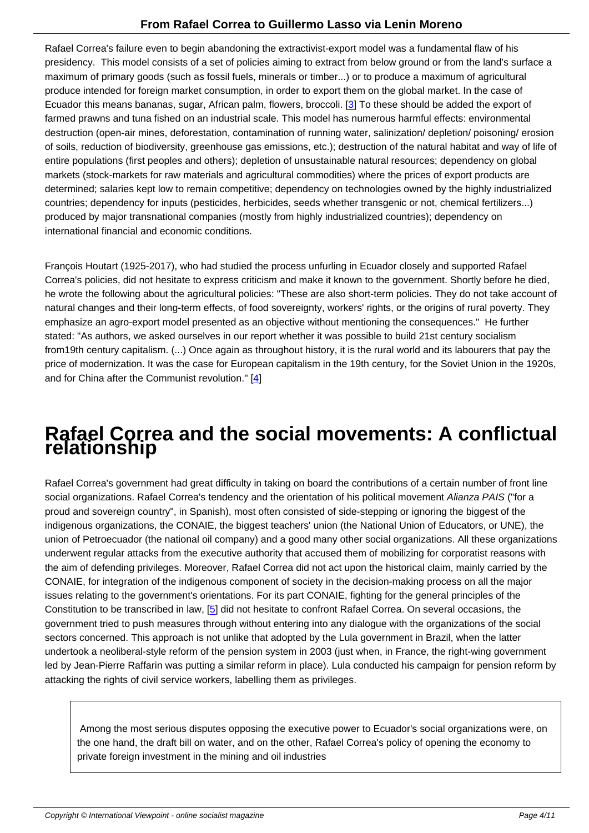Rafael Correa's failure even to begin abandoning the extractivist-export model was a fundamental flaw of his presidency. This model consists of a set of policies aiming to extract from below ground or from the land's surface a maximum of primary goods (such as fossil fuels, minerals or timber...) or to produce a maximum of agricultural produce intended for foreign market consumption, in order to export them on the global market. In the case of Ecuador this means bananas, sugar, African palm, flowers, broccoli. [3] To these should be added the export of farmed prawns and tuna fished on an industrial scale. This model has numerous harmful effects: environmental destruction (open-air mines, deforestation, contamination of running water, salinization/ depletion/ poisoning/ erosion of soils, reduction of biodiversity, greenhouse gas emissions, etc.); destruction of the natural habitat and way of life of entire populations (first peoples and others); depletion of unsustainab[le](#nb3) natural resources; dependency on global markets (stock-markets for raw materials and agricultural commodities) where the prices of export products are determined; salaries kept low to remain competitive; dependency on technologies owned by the highly industrialized countries; dependency for inputs (pesticides, herbicides, seeds whether transgenic or not, chemical fertilizers...) produced by major transnational companies (mostly from highly industrialized countries); dependency on international financial and economic conditions.

François Houtart (1925-2017), who had studied the process unfurling in Ecuador closely and supported Rafael Correa's policies, did not hesitate to express criticism and make it known to the government. Shortly before he died, he wrote the following about the agricultural policies: "These are also short-term policies. They do not take account of natural changes and their long-term effects, of food sovereignty, workers' rights, or the origins of rural poverty. They emphasize an agro-export model presented as an objective without mentioning the consequences." He further stated: "As authors, we asked ourselves in our report whether it was possible to build 21st century socialism from19th century capitalism. (...) Once again as throughout history, it is the rural world and its labourers that pay the price of modernization. It was the case for European capitalism in the 19th century, for the Soviet Union in the 1920s, and for China after the Communist revolution." [4]

## **Rafael Correa and the [s](#nb4)ocial movements: A conflictual relationship**

Rafael Correa's government had great difficulty in taking on board the contributions of a certain number of front line social organizations. Rafael Correa's tendency and the orientation of his political movement Alianza PAIS ("for a proud and sovereign country", in Spanish), most often consisted of side-stepping or ignoring the biggest of the indigenous organizations, the CONAIE, the biggest teachers' union (the National Union of Educators, or UNE), the union of Petroecuador (the national oil company) and a good many other social organizations. All these organizations underwent regular attacks from the executive authority that accused them of mobilizing for corporatist reasons with the aim of defending privileges. Moreover, Rafael Correa did not act upon the historical claim, mainly carried by the CONAIE, for integration of the indigenous component of society in the decision-making process on all the major issues relating to the government's orientations. For its part CONAIE, fighting for the general principles of the Constitution to be transcribed in law, [5] did not hesitate to confront Rafael Correa. On several occasions, the government tried to push measures through without entering into any dialogue with the organizations of the social sectors concerned. This approach is not unlike that adopted by the Lula government in Brazil, when the latter undertook a neoliberal-style reform of the pension system in 2003 (just when, in France, the right-wing government led by Jean-Pierre Raffarin was putti[ng](#nb5) a similar reform in place). Lula conducted his campaign for pension reform by attacking the rights of civil service workers, labelling them as privileges.

 Among the most serious disputes opposing the executive power to Ecuador's social organizations were, on the one hand, the draft bill on water, and on the other, Rafael Correa's policy of opening the economy to private foreign investment in the mining and oil industries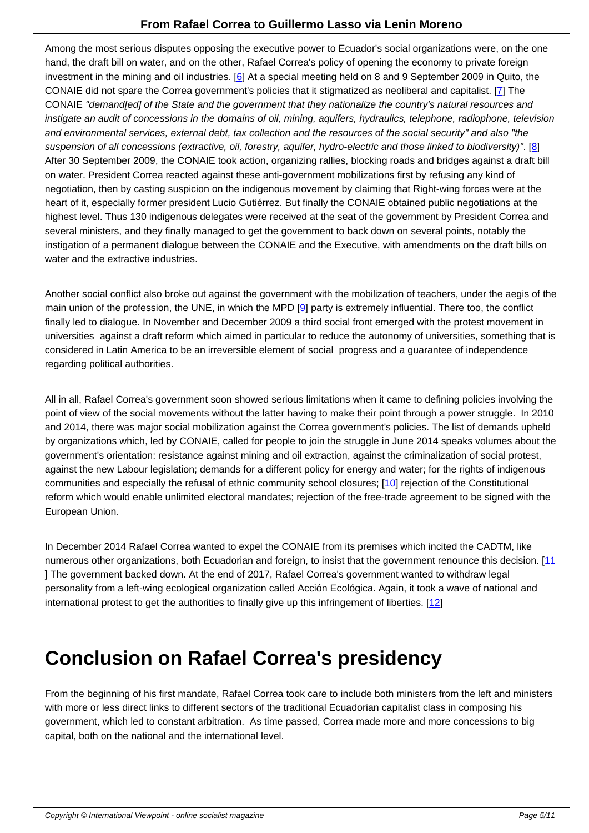Among the most serious disputes opposing the executive power to Ecuador's social organizations were, on the one hand, the draft bill on water, and on the other, Rafael Correa's policy of opening the economy to private foreign investment in the mining and oil industries. [6] At a special meeting held on 8 and 9 September 2009 in Quito, the CONAIE did not spare the Correa government's policies that it stigmatized as neoliberal and capitalist. [7] The CONAIE "demand[ed] of the State and the government that they nationalize the country's natural resources and instigate an audit of concessions in the domains of oil, mining, aquifers, hydraulics, telephone, radiophone, television and environmental services, external debt, t[ax](#nb6) collection and the resources of the social security" and also "the suspension of all concessions (extractive, oil, forestry, aquifer, hydro-electric and those linked to biodiv[ers](#nb7)ity)". [8] After 30 September 2009, the CONAIE took action, organizing rallies, blocking roads and bridges against a draft bill on water. President Correa reacted against these anti-government mobilizations first by refusing any kind of negotiation, then by casting suspicion on the indigenous movement by claiming that Right-wing forces were at the heart of it, especially former president Lucio Gutiérrez. But finally the CONAIE obtained public negotiations at t[he](#nb8) highest level. Thus 130 indigenous delegates were received at the seat of the government by President Correa and several ministers, and they finally managed to get the government to back down on several points, notably the instigation of a permanent dialogue between the CONAIE and the Executive, with amendments on the draft bills on water and the extractive industries.

Another social conflict also broke out against the government with the mobilization of teachers, under the aegis of the main union of the profession, the UNE, in which the MPD [9] party is extremely influential. There too, the conflict finally led to dialogue. In November and December 2009 a third social front emerged with the protest movement in universities against a draft reform which aimed in particular to reduce the autonomy of universities, something that is considered in Latin America to be an irreversible element [of](#nb9) social progress and a guarantee of independence regarding political authorities.

All in all, Rafael Correa's government soon showed serious limitations when it came to defining policies involving the point of view of the social movements without the latter having to make their point through a power struggle. In 2010 and 2014, there was major social mobilization against the Correa government's policies. The list of demands upheld by organizations which, led by CONAIE, called for people to join the struggle in June 2014 speaks volumes about the government's orientation: resistance against mining and oil extraction, against the criminalization of social protest, against the new Labour legislation; demands for a different policy for energy and water; for the rights of indigenous communities and especially the refusal of ethnic community school closures; [10] rejection of the Constitutional reform which would enable unlimited electoral mandates; rejection of the free-trade agreement to be signed with the European Union.

In December 2014 Rafael Correa wanted to expel the CONAIE from its premises which incited the CADTM, like numerous other organizations, both Ecuadorian and foreign, to insist that the government renounce this decision. [11 ] The government backed down. At the end of 2017, Rafael Correa's government wanted to withdraw legal personality from a left-wing ecological organization called Acción Ecológica. Again, it took a wave of national and international protest to get the authorities to finally give up this infringement of liberties. [12]

### **Conclusion on Rafael Correa's presiden[cy](#nb12)**

From the beginning of his first mandate, Rafael Correa took care to include both ministers from the left and ministers with more or less direct links to different sectors of the traditional Ecuadorian capitalist class in composing his government, which led to constant arbitration. As time passed, Correa made more and more concessions to big capital, both on the national and the international level.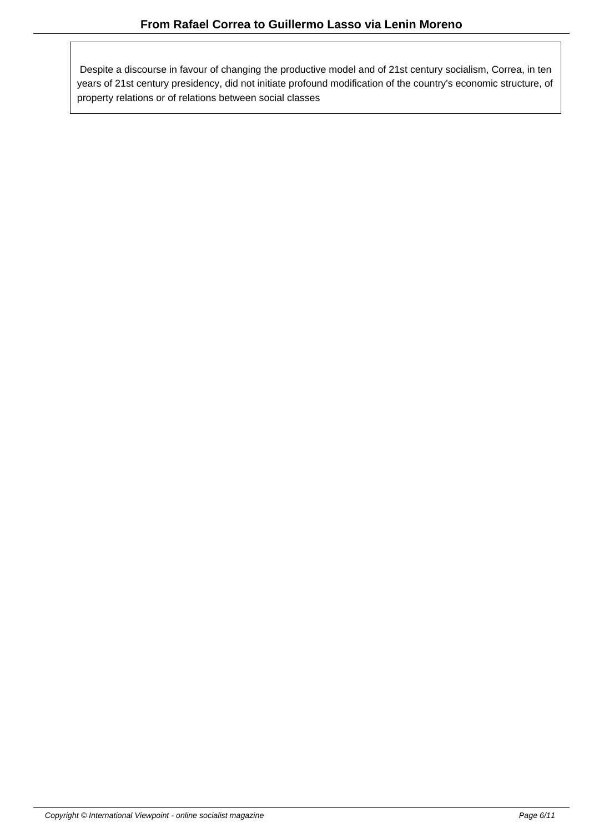Despite a discourse in favour of changing the productive model and of 21st century socialism, Correa, in ten years of 21st century presidency, did not initiate profound modification of the country's economic structure, of property relations or of relations between social classes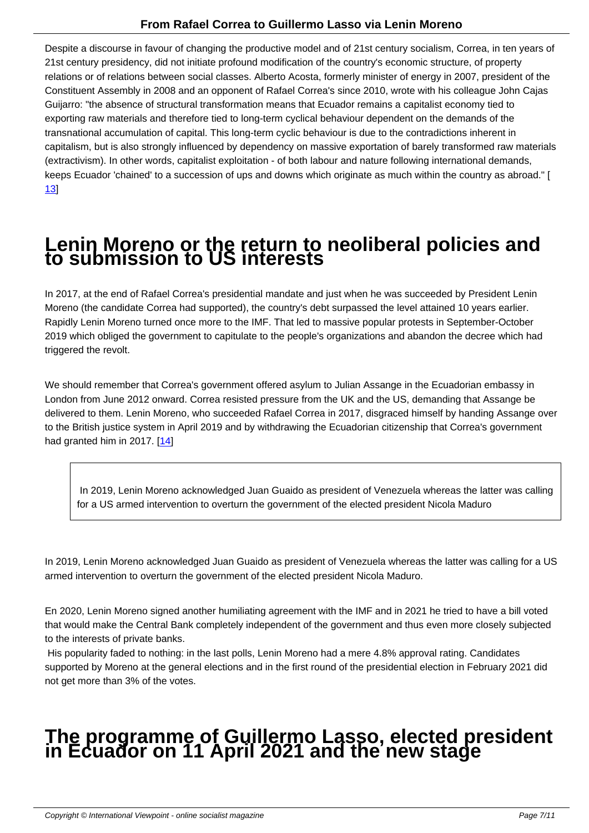Despite a discourse in favour of changing the productive model and of 21st century socialism, Correa, in ten years of 21st century presidency, did not initiate profound modification of the country's economic structure, of property relations or of relations between social classes. Alberto Acosta, formerly minister of energy in 2007, president of the Constituent Assembly in 2008 and an opponent of Rafael Correa's since 2010, wrote with his colleague John Cajas Guijarro: "the absence of structural transformation means that Ecuador remains a capitalist economy tied to exporting raw materials and therefore tied to long-term cyclical behaviour dependent on the demands of the transnational accumulation of capital. This long-term cyclic behaviour is due to the contradictions inherent in capitalism, but is also strongly influenced by dependency on massive exportation of barely transformed raw materials (extractivism). In other words, capitalist exploitation - of both labour and nature following international demands, keeps Ecuador 'chained' to a succession of ups and downs which originate as much within the country as abroad." [ 13]

## **[L](#nb13)enin Moreno or the return to neoliberal policies and to submission to US interests**

In 2017, at the end of Rafael Correa's presidential mandate and just when he was succeeded by President Lenin Moreno (the candidate Correa had supported), the country's debt surpassed the level attained 10 years earlier. Rapidly Lenin Moreno turned once more to the IMF. That led to massive popular protests in September-October 2019 which obliged the government to capitulate to the people's organizations and abandon the decree which had triggered the revolt.

We should remember that Correa's government offered asylum to Julian Assange in the Ecuadorian embassy in London from June 2012 onward. Correa resisted pressure from the UK and the US, demanding that Assange be delivered to them. Lenin Moreno, who succeeded Rafael Correa in 2017, disgraced himself by handing Assange over to the British justice system in April 2019 and by withdrawing the Ecuadorian citizenship that Correa's government had granted him in 2017.  $[14]$ 

 In 2019, Lenin Mo[ren](#nb14)o acknowledged Juan Guaido as president of Venezuela whereas the latter was calling for a US armed intervention to overturn the government of the elected president Nicola Maduro

In 2019, Lenin Moreno acknowledged Juan Guaido as president of Venezuela whereas the latter was calling for a US armed intervention to overturn the government of the elected president Nicola Maduro.

En 2020, Lenin Moreno signed another humiliating agreement with the IMF and in 2021 he tried to have a bill voted that would make the Central Bank completely independent of the government and thus even more closely subjected to the interests of private banks.

 His popularity faded to nothing: in the last polls, Lenin Moreno had a mere 4.8% approval rating. Candidates supported by Moreno at the general elections and in the first round of the presidential election in February 2021 did not get more than 3% of the votes.

## **The programme of Guillermo Lasso, elected president in Ecuador on 11 April 2021 and the new stage**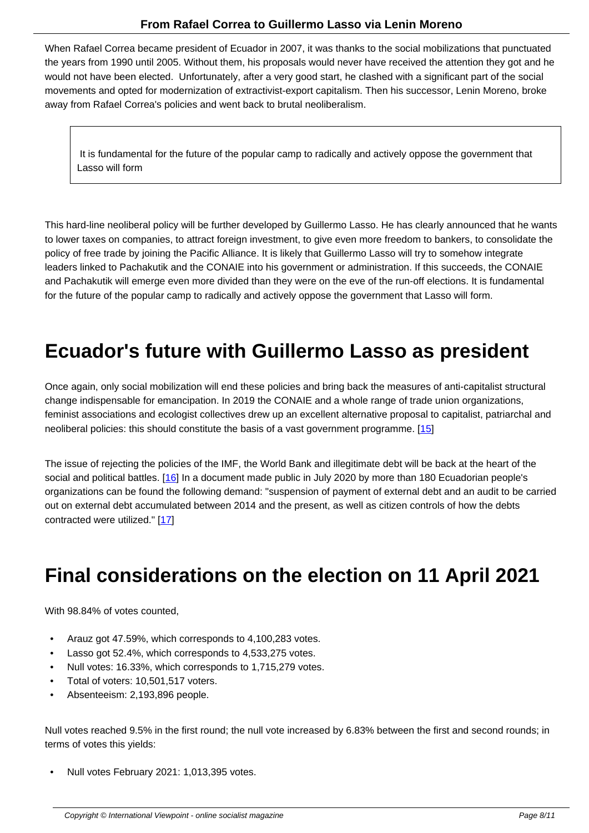When Rafael Correa became president of Ecuador in 2007, it was thanks to the social mobilizations that punctuated the years from 1990 until 2005. Without them, his proposals would never have received the attention they got and he would not have been elected. Unfortunately, after a very good start, he clashed with a significant part of the social movements and opted for modernization of extractivist-export capitalism. Then his successor, Lenin Moreno, broke away from Rafael Correa's policies and went back to brutal neoliberalism.

 It is fundamental for the future of the popular camp to radically and actively oppose the government that Lasso will form

This hard-line neoliberal policy will be further developed by Guillermo Lasso. He has clearly announced that he wants to lower taxes on companies, to attract foreign investment, to give even more freedom to bankers, to consolidate the policy of free trade by joining the Pacific Alliance. It is likely that Guillermo Lasso will try to somehow integrate leaders linked to Pachakutik and the CONAIE into his government or administration. If this succeeds, the CONAIE and Pachakutik will emerge even more divided than they were on the eve of the run-off elections. It is fundamental for the future of the popular camp to radically and actively oppose the government that Lasso will form.

#### **Ecuador's future with Guillermo Lasso as president**

Once again, only social mobilization will end these policies and bring back the measures of anti-capitalist structural change indispensable for emancipation. In 2019 the CONAIE and a whole range of trade union organizations, feminist associations and ecologist collectives drew up an excellent alternative proposal to capitalist, patriarchal and neoliberal policies: this should constitute the basis of a vast government programme. [15]

The issue of rejecting the policies of the IMF, the World Bank and illegitimate debt will be back at the heart of the social and political battles. [16] In a document made public in July 2020 by more than [180](#nb15) Ecuadorian people's organizations can be found the following demand: "suspension of payment of external debt and an audit to be carried out on external debt accumulated between 2014 and the present, as well as citizen controls of how the debts contracted were utilized." [[17\]](#nb16)

## **Final consi[de](#nb17)rations on the election on 11 April 2021**

With 98.84% of votes counted,

- Arauz got 47.59%, which corresponds to 4,100,283 votes.
- Lasso got 52.4%, which corresponds to 4,533,275 votes.
- Null votes: 16.33%, which corresponds to 1,715,279 votes.
- Total of voters: 10,501,517 voters.
- Absenteeism: 2,193,896 people.

Null votes reached 9.5% in the first round; the null vote increased by 6.83% between the first and second rounds; in terms of votes this yields:

• Null votes February 2021: 1,013,395 votes.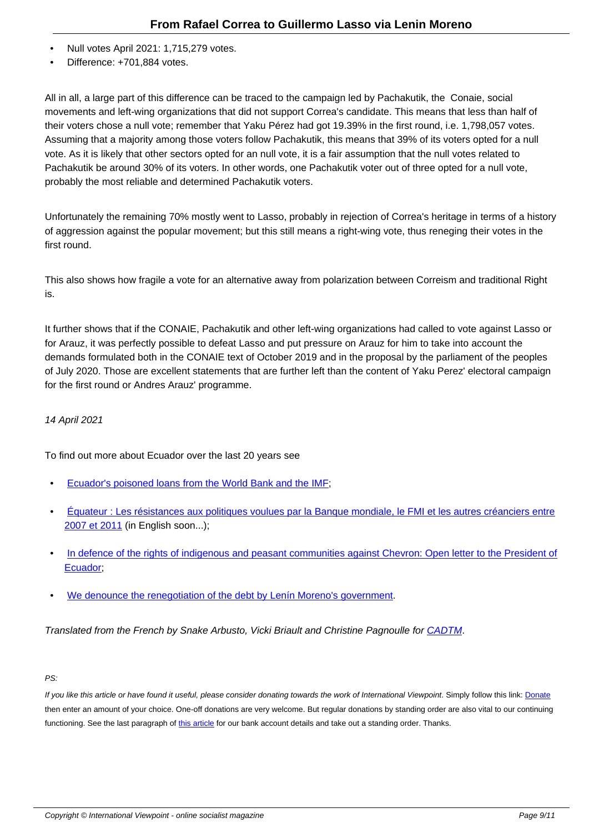- $\frac{1}{2}$  votes April 2021: 1,715,279 votes.
- Difference: +701,884 votes.

All in all, a large part of this difference can be traced to the campaign led by Pachakutik, the Conaie, social movements and left-wing organizations that did not support Correa's candidate. This means that less than half of their voters chose a null vote; remember that Yaku Pérez had got 19.39% in the first round, i.e. 1,798,057 votes. Assuming that a majority among those voters follow Pachakutik, this means that 39% of its voters opted for a null vote. As it is likely that other sectors opted for an null vote, it is a fair assumption that the null votes related to Pachakutik be around 30% of its voters. In other words, one Pachakutik voter out of three opted for a null vote, probably the most reliable and determined Pachakutik voters.

Unfortunately the remaining 70% mostly went to Lasso, probably in rejection of Correa's heritage in terms of a history of aggression against the popular movement; but this still means a right-wing vote, thus reneging their votes in the first round.

This also shows how fragile a vote for an alternative away from polarization between Correism and traditional Right is.

It further shows that if the CONAIE, Pachakutik and other left-wing organizations had called to vote against Lasso or for Arauz, it was perfectly possible to defeat Lasso and put pressure on Arauz for him to take into account the demands formulated both in the CONAIE text of October 2019 and in the proposal by the parliament of the peoples of July 2020. Those are excellent statements that are further left than the content of Yaku Perez' electoral campaign for the first round or Andres Arauz' programme.

#### 14 April 2021

To find out more about Ecuador over the last 20 years see

- Ecuador's poisoned loans from the World Bank and the IMF;
- Équateur : Les résistances aux politiques voulues par la Banque mondiale, le FMI et les autres créanciers entre [2007 et 2011 \(in English soon...\);](https://www.cadtm.org/Ecuador-s-poisoned-loans-from-the-World-Bank-and-the-IMF)
- [In defence of the rights of indigenous and peasant communities against Chevron: Open letter to the President of](https://www.cadtm.org/Equateur-Les-resistances-aux-politiques-voulues-par-la-Banque-mondiale-le-FMI) [Ecuador;](https://www.cadtm.org/Equateur-Les-resistances-aux-politiques-voulues-par-la-Banque-mondiale-le-FMI)
- [We denounce the renegotiation of the debt by Lenín Moreno](https://www.cadtm.org/In-defence-of-the-rights-of-indigenous-and-peasant-communities-against-Chevron)'[s government.](https://www.cadtm.org/In-defence-of-the-rights-of-indigenous-and-peasant-communities-against-Chevron)

Translated from the French by Snake Arbusto, Vicki Briault and Christine Pagnoulle for CADTM.

#### PS:

If you like this article or have found it useful, please consider donating towards the work of International Viewpoint. Simply follow this link: Donate then enter an amount of your choice. One-off donations are very welcome. But regular donations by standing order are also vital to our continuing functioning. See the last paragraph of this article for our bank account details and take out a standing order. Thanks.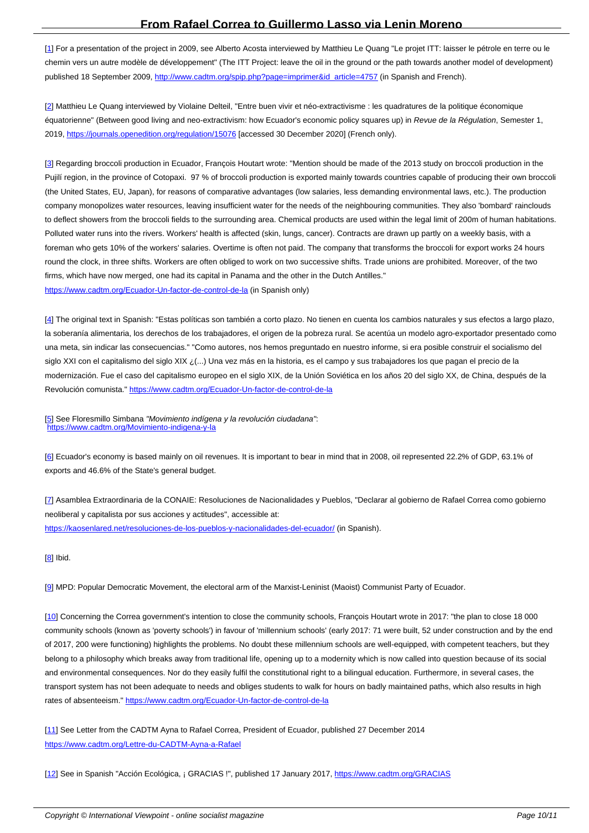[1] For a presentation of the project in 2009, see Alberto Acosta interviewed by Matthieu Le Quang "Le projet ITT: laisser le pétrole en terre ou le chemin vers un autre modèle de développement" (The ITT Project: leave the oil in the ground or the path towards another model of development) published 18 September 2009, http://www.cadtm.org/spip.php?page=imprimer&id\_article=4757 (in Spanish and French).

[[2](#nh1)] Matthieu Le Quang interviewed by Violaine Delteil, "Entre buen vivir et néo-extractivisme : les quadratures de la politique économique équatorienne" (Between good li[ving and neo-extractivism: how Ecuador](http://www.cadtm.org/spip.php?page=imprimer&id_article=4757)'[s economic policy squa](http://www.cadtm.org/spip.php?page=imprimer&id_article=4757)res up) in Revue de la Régulation, Semester 1, 2019, https://journals.openedition.org/regulation/15076 [accessed 30 December 2020] (French only).

[[3](#nh2)] Regarding broccoli production in Ecuador, François Houtart wrote: "Mention should be made of the 2013 study on broccoli production in the Pujilí r[egion, in the province of Cotopaxi. 97 % of brocc](https://journals.openedition.org/regulation/15076)oli production is exported mainly towards countries capable of producing their own broccoli (the United States, EU, Japan), for reasons of comparative advantages (low salaries, less demanding environmental laws, etc.). The production company monopolizes water resources, leaving insufficient water for the needs of the neighbouring communities. They also 'bombard' rainclouds t[o](#nh3) deflect showers from the broccoli fields to the surrounding area. Chemical products are used within the legal limit of 200m of human habitations. Polluted water runs into the rivers. Workers' health is affected (skin, lungs, cancer). Contracts are drawn up partly on a weekly basis, with a foreman who gets 10% of the workers' salaries. Overtime is often not paid. The company that transforms the broccoli for export works 24 hours round the clock, in three shifts. Workers are often obliged to work on two successive shifts. Trade unions are prohibited. Moreover, of the two firms, which have now merged, one had its capital in Panama and the other in the Dutch Antilles." https://www.cadtm.org/Ecuador-Un-factor-de-control-de-la (in Spanish only)

[4] The original text in Spanish: "Estas políticas son también a corto plazo. No tienen en cuenta los cambios naturales y sus efectos a largo plazo, [la soberanía alimentaria, los derechos de los trabajadores,](https://www.cadtm.org/Ecuador-Un-factor-de-control-de-la) el origen de la pobreza rural. Se acentúa un modelo agro-exportador presentado como una meta, sin indicar las consecuencias." "Como autores, nos hemos preguntado en nuestro informe, si era posible construir el socialismo del siglo XXI con el capitalismo del siglo XIX ¿(...) Una vez más en la historia, es el campo y sus trabajadores los que pagan el precio de la [m](#nh4)odernización. Fue el caso del capitalismo europeo en el siglo XIX, de la Unión Soviética en los años 20 del siglo XX, de China, después de la Revolución comunista." https://www.cadtm.org/Ecuador-Un-factor-de-control-de-la

[5] See Floresmillo Simbana "Movimiento indígena y la revolución ciudadana": https://www.cadtm.org/Movimiento-indigena-y-la

[6] Ecuador's economy is based mainly on oil revenues. It is important to bear in mind that in 2008, oil represented 22.2% of GDP, 63.1% of [ex](#nh5)[ports and 46.6% of the State](https://www.cadtm.org/Movimiento-indigena-y-la)'[s general budget.](https://www.cadtm.org/Movimiento-indigena-y-la)

[[7](#nh6)] Asamblea Extraordinaria de la CONAIE: Resoluciones de Nacionalidades y Pueblos, "Declarar al gobierno de Rafael Correa como gobierno neoliberal y capitalista por sus acciones y actitudes", accessible at: https://kaosenlared.net/resoluciones-de-los-pueblos-y-nacionalidades-del-ecuador/ (in Spanish).

[8] Ibid.

[9] MPD: Popular Democratic Movement, the electoral arm of the Marxist-Leninist (Maoist) Communist Party of Ecuador.

[10] Concerning the Correa government's intention to close the community schools, François Houtart wrote in 2017: "the plan to close 18 000 [co](#nh9)mmunity schools (known as 'poverty schools') in favour of 'millennium schools' (early 2017: 71 were built, 52 under construction and by the end of 2017, 200 were functioning) highlights the problems. No doubt these millennium schools are well-equipped, with competent teachers, but they belong to a philosophy which breaks away from traditional life, opening up to a modernity which is now called into question because of its social [and](#nh10) environmental consequences. Nor do they easily fulfil the constitutional right to a bilingual education. Furthermore, in several cases, the transport system has not been adequate to needs and obliges students to walk for hours on badly maintained paths, which also results in high rates of absenteeism." https://www.cadtm.org/Ecuador-Un-factor-de-control-de-la

[11] See Letter from the CADTM Ayna to Rafael Correa, President of Ecuador, published 27 December 2014 https://www.cadtm.org/[Lettre-du-CADTM-Ayna-a-Rafael](https://www.cadtm.org/Ecuador-Un-factor-de-control-de-la)

[[12](#nh11)] See in Spanish "Acción Ecológica, ¡ GRACIAS !", published 17 January 2017, https://www.cadtm.org/GRACIAS